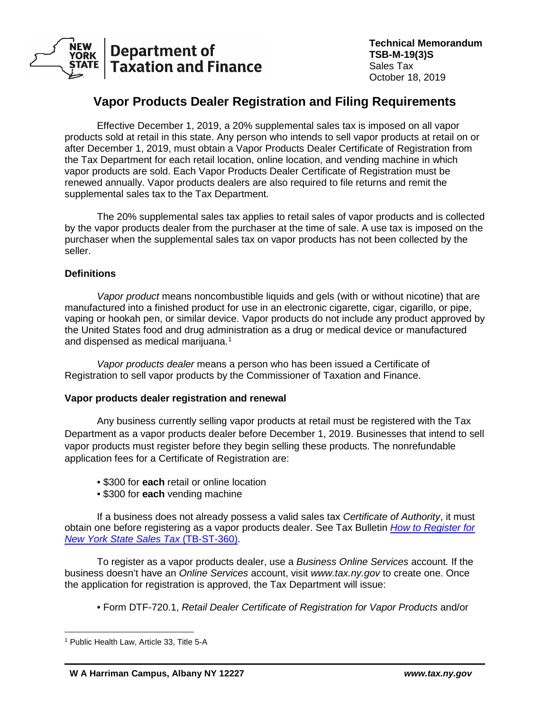

# **Vapor Products Dealer Registration and Filing Requirements**

Effective December 1, 2019, a 20% supplemental sales tax is imposed on all vapor products sold at retail in this state. Any person who intends to sell vapor products at retail on or after December 1, 2019, must obtain a Vapor Products Dealer Certificate of Registration from the Tax Department for each retail location, online location, and vending machine in which vapor products are sold. Each Vapor Products Dealer Certificate of Registration must be renewed annually. Vapor products dealers are also required to file returns and remit the supplemental sales tax to the Tax Department.

The 20% supplemental sales tax applies to retail sales of vapor products and is collected by the vapor products dealer from the purchaser at the time of sale. A use tax is imposed on the purchaser when the supplemental sales tax on vapor products has not been collected by the seller.

# **Definitions**

*Vapor product* means noncombustible liquids and gels (with or without nicotine) that are manufactured into a finished product for use in an electronic cigarette, cigar, cigarillo, or pipe, vaping or hookah pen, or similar device. Vapor products do not include any product approved by the United States food and drug administration as a drug or medical device or manufactured and dispensed as medical marijuana.<sup>[1](#page-0-0)</sup>

*Vapor products dealer* means a person who has been issued a Certificate of Registration to sell vapor products by the Commissioner of Taxation and Finance.

## **Vapor products dealer registration and renewal**

Any business currently selling vapor products at retail must be registered with the Tax Department as a vapor products dealer before December 1, 2019. Businesses that intend to sell vapor products must register before they begin selling these products. The nonrefundable application fees for a Certificate of Registration are:

- \$300 for **each** retail or online location
- \$300 for **each** vending machine

If a business does not already possess a valid sales tax *Certificate of Authority*, it must obtain one before registering as a vapor products dealer. See Tax Bulletin *[How to Register for](https://www.tax.ny.gov/pubs_and_bulls/tg_bulletins/st/how_to_register_for_nys_sales_tax.htm)  [New York State Sales Tax](https://www.tax.ny.gov/pubs_and_bulls/tg_bulletins/st/how_to_register_for_nys_sales_tax.htm)* (TB-ST-360).

To register as a vapor products dealer, use a *Business Online Services* account*.* If the business doesn't have an *Online Services* account, visit *www.tax.ny.gov* to create one. Once the application for registration is approved, the Tax Department will issue:

• Form DTF-720.1, *Retail Dealer Certificate of Registration for Vapor Products* and/or

<span id="page-0-0"></span> $\overline{a}$ <sup>1</sup> Public Health Law, Article 33, Title 5-A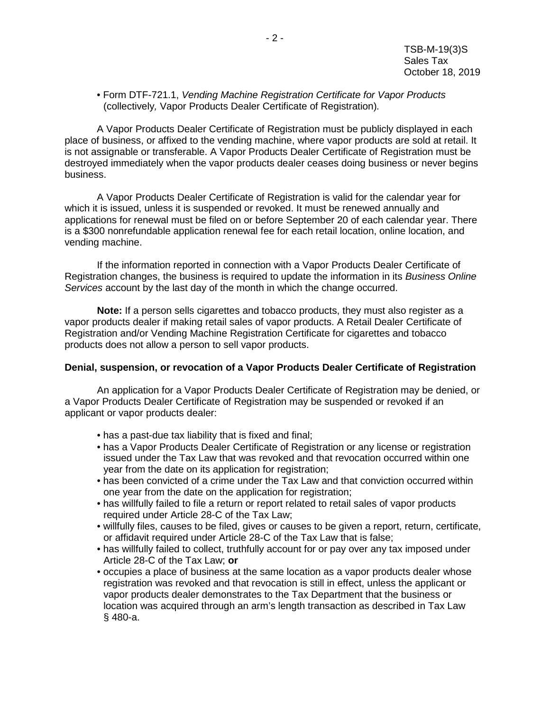• Form DTF-721.1, *Vending Machine Registration Certificate for Vapor Products* (collectively*,* Vapor Products Dealer Certificate of Registration)*.*

A Vapor Products Dealer Certificate of Registration must be publicly displayed in each place of business, or affixed to the vending machine, where vapor products are sold at retail. It is not assignable or transferable. A Vapor Products Dealer Certificate of Registration must be destroyed immediately when the vapor products dealer ceases doing business or never begins business.

A Vapor Products Dealer Certificate of Registration is valid for the calendar year for which it is issued, unless it is suspended or revoked. It must be renewed annually and applications for renewal must be filed on or before September 20 of each calendar year. There is a \$300 nonrefundable application renewal fee for each retail location, online location, and vending machine.

If the information reported in connection with a Vapor Products Dealer Certificate of Registration changes, the business is required to update the information in its *Business Online Services* account by the last day of the month in which the change occurred.

**Note:** If a person sells cigarettes and tobacco products, they must also register as a vapor products dealer if making retail sales of vapor products. A Retail Dealer Certificate of Registration and/or Vending Machine Registration Certificate for cigarettes and tobacco products does not allow a person to sell vapor products.

#### **Denial, suspension, or revocation of a Vapor Products Dealer Certificate of Registration**

An application for a Vapor Products Dealer Certificate of Registration may be denied, or a Vapor Products Dealer Certificate of Registration may be suspended or revoked if an applicant or vapor products dealer:

- has a past-due tax liability that is fixed and final;
- has a Vapor Products Dealer Certificate of Registration or any license or registration issued under the Tax Law that was revoked and that revocation occurred within one year from the date on its application for registration;
- has been convicted of a crime under the Tax Law and that conviction occurred within one year from the date on the application for registration;
- has willfully failed to file a return or report related to retail sales of vapor products required under Article 28-C of the Tax Law;
- willfully files, causes to be filed, gives or causes to be given a report, return, certificate, or affidavit required under Article 28-C of the Tax Law that is false;
- has willfully failed to collect, truthfully account for or pay over any tax imposed under Article 28-C of the Tax Law; **or**
- occupies a place of business at the same location as a vapor products dealer whose registration was revoked and that revocation is still in effect, unless the applicant or vapor products dealer demonstrates to the Tax Department that the business or location was acquired through an arm's length transaction as described in Tax Law § 480-a.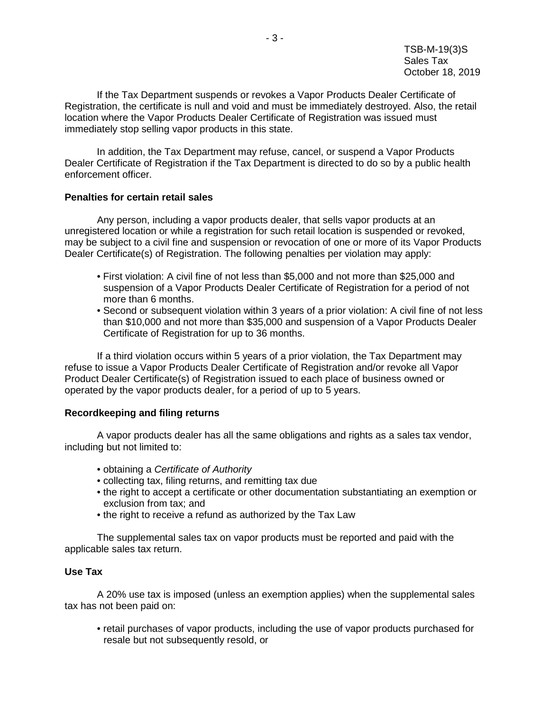If the Tax Department suspends or revokes a Vapor Products Dealer Certificate of Registration, the certificate is null and void and must be immediately destroyed. Also, the retail location where the Vapor Products Dealer Certificate of Registration was issued must immediately stop selling vapor products in this state.

In addition, the Tax Department may refuse, cancel, or suspend a Vapor Products Dealer Certificate of Registration if the Tax Department is directed to do so by a public health enforcement officer.

## **Penalties for certain retail sales**

Any person, including a vapor products dealer, that sells vapor products at an unregistered location or while a registration for such retail location is suspended or revoked, may be subject to a civil fine and suspension or revocation of one or more of its Vapor Products Dealer Certificate(s) of Registration. The following penalties per violation may apply:

- First violation: A civil fine of not less than \$5,000 and not more than \$25,000 and suspension of a Vapor Products Dealer Certificate of Registration for a period of not more than 6 months.
- Second or subsequent violation within 3 years of a prior violation: A civil fine of not less than \$10,000 and not more than \$35,000 and suspension of a Vapor Products Dealer Certificate of Registration for up to 36 months.

If a third violation occurs within 5 years of a prior violation, the Tax Department may refuse to issue a Vapor Products Dealer Certificate of Registration and/or revoke all Vapor Product Dealer Certificate(s) of Registration issued to each place of business owned or operated by the vapor products dealer, for a period of up to 5 years.

# **Recordkeeping and filing returns**

A vapor products dealer has all the same obligations and rights as a sales tax vendor, including but not limited to:

- obtaining a *Certificate of Authority*
- collecting tax, filing returns, and remitting tax due
- the right to accept a certificate or other documentation substantiating an exemption or exclusion from tax; and
- the right to receive a refund as authorized by the Tax Law

The supplemental sales tax on vapor products must be reported and paid with the applicable sales tax return.

## **Use Tax**

A 20% use tax is imposed (unless an exemption applies) when the supplemental sales tax has not been paid on:

• retail purchases of vapor products, including the use of vapor products purchased for resale but not subsequently resold, or